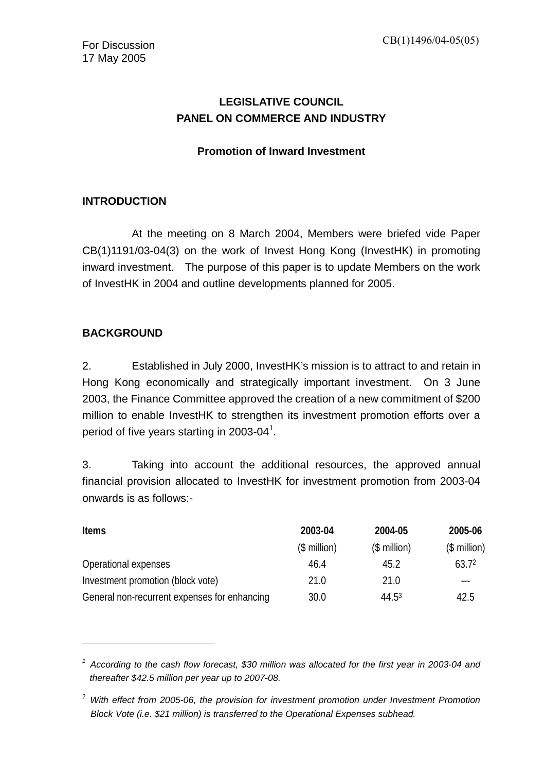## **LEGISLATIVE COUNCIL PANEL ON COMMERCE AND INDUSTRY**

#### **Promotion of Inward Investment**

## **INTRODUCTION**

 At the meeting on 8 March 2004, Members were briefed vide Paper CB(1)1191/03-04(3) on the work of Invest Hong Kong (InvestHK) in promoting inward investment. The purpose of this paper is to update Members on the work of InvestHK in 2004 and outline developments planned for 2005.

#### **BACKGROUND**

 $\overline{a}$ 

2. Established in July 2000, InvestHK's mission is to attract to and retain in Hong Kong economically and strategically important investment. On 3 June 2003, the Finance Committee approved the creation of a new commitment of \$200 million to enable InvestHK to strengthen its investment promotion efforts over a period of five years starting in 2003-04<sup>[1](#page-0-0)</sup>.

3. Taking into account the additional resources, the approved annual financial provision allocated to InvestHK for investment promotion from 2003-04 onwards is as follows:-

| <b>Items</b>                                 | 2003-04      | 2004-05       | 2005-06           |
|----------------------------------------------|--------------|---------------|-------------------|
|                                              | $$$ million) | $($$ million) | $($$ million $)$  |
| Operational expenses                         | 46.4         | 45.2          | 63.7 <sup>2</sup> |
| Investment promotion (block vote)            | 21.0         | 21.0          |                   |
| General non-recurrent expenses for enhancing | 30.0         | 44.53         | 42.5              |

<span id="page-0-0"></span><sup>&</sup>lt;sup>1</sup> According to the cash flow forecast, \$30 million was allocated for the first year in 2003-04 and *thereafter \$42.5 million per year up to 2007-08.* 

<span id="page-0-2"></span><span id="page-0-1"></span><sup>2</sup> *With effect from 2005-06, the provision for investment promotion under Investment Promotion Block Vote (i.e. \$21 million) is transferred to the Operational Expenses subhead.*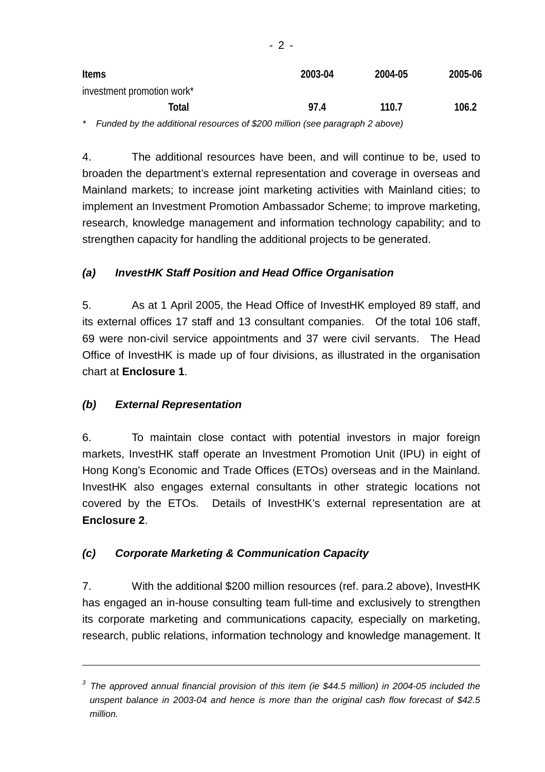| <b>Items</b>                                                  | 2003-04                                                                       | 2004-05 | 2005-06 |
|---------------------------------------------------------------|-------------------------------------------------------------------------------|---------|---------|
| investment promotion work*                                    |                                                                               |         |         |
| Total                                                         | 97.4                                                                          | 110.7   | 106.2   |
| and the contract of the<br>.<br>.<br>$\overline{\phantom{0}}$ | $\mathbf{r}$ $\mathbf{a}$ $\mathbf{a}$ $\mathbf{a}$ $\mathbf{b}$ $\mathbf{r}$ |         |         |

*\* Funded by the additional resources of \$200 million (see paragraph 2 above)* 

4. The additional resources have been, and will continue to be, used to broaden the department's external representation and coverage in overseas and Mainland markets; to increase joint marketing activities with Mainland cities; to implement an Investment Promotion Ambassador Scheme; to improve marketing, research, knowledge management and information technology capability; and to strengthen capacity for handling the additional projects to be generated.

#### *(a) InvestHK Staff Position and Head Office Organisation*

5. As at 1 April 2005, the Head Office of InvestHK employed 89 staff, and its external offices 17 staff and 13 consultant companies. Of the total 106 staff, 69 were non-civil service appointments and 37 were civil servants. The Head Office of InvestHK is made up of four divisions, as illustrated in the organisation chart at **Enclosure 1**.

#### *(b) External Representation*

<u>.</u>

6. To maintain close contact with potential investors in major foreign markets, InvestHK staff operate an Investment Promotion Unit (IPU) in eight of Hong Kong's Economic and Trade Offices (ETOs) overseas and in the Mainland. InvestHK also engages external consultants in other strategic locations not covered by the ETOs. Details of InvestHK's external representation are at **Enclosure 2**.

#### *(c) Corporate Marketing & Communication Capacity*

7. With the additional \$200 million resources (ref. para.2 above), InvestHK has engaged an in-house consulting team full-time and exclusively to strengthen its corporate marketing and communications capacity, especially on marketing, research, public relations, information technology and knowledge management. It

*<sup>3</sup> The approved annual financial provision of this item (ie \$44.5 million) in 2004-05 included the unspent balance in 2003-04 and hence is more than the original cash flow forecast of \$42.5 million.*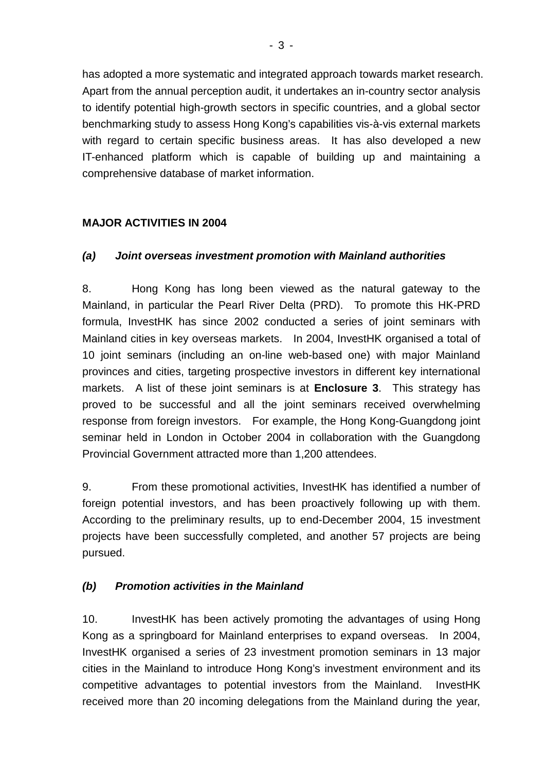has adopted a more systematic and integrated approach towards market research. Apart from the annual perception audit, it undertakes an in-country sector analysis to identify potential high-growth sectors in specific countries, and a global sector benchmarking study to assess Hong Kong's capabilities vis-à-vis external markets with regard to certain specific business areas. It has also developed a new IT-enhanced platform which is capable of building up and maintaining a comprehensive database of market information.

## **MAJOR ACTIVITIES IN 2004**

#### *(a) Joint overseas investment promotion with Mainland authorities*

8. Hong Kong has long been viewed as the natural gateway to the Mainland, in particular the Pearl River Delta (PRD). To promote this HK-PRD formula, InvestHK has since 2002 conducted a series of joint seminars with Mainland cities in key overseas markets. In 2004, InvestHK organised a total of 10 joint seminars (including an on-line web-based one) with major Mainland provinces and cities, targeting prospective investors in different key international markets. A list of these joint seminars is at **Enclosure 3**. This strategy has proved to be successful and all the joint seminars received overwhelming response from foreign investors. For example, the Hong Kong-Guangdong joint seminar held in London in October 2004 in collaboration with the Guangdong Provincial Government attracted more than 1,200 attendees.

9. From these promotional activities, InvestHK has identified a number of foreign potential investors, and has been proactively following up with them. According to the preliminary results, up to end-December 2004, 15 investment projects have been successfully completed, and another 57 projects are being pursued.

#### *(b) Promotion activities in the Mainland*

10. InvestHK has been actively promoting the advantages of using Hong Kong as a springboard for Mainland enterprises to expand overseas. In 2004, InvestHK organised a series of 23 investment promotion seminars in 13 major cities in the Mainland to introduce Hong Kong's investment environment and its competitive advantages to potential investors from the Mainland. InvestHK received more than 20 incoming delegations from the Mainland during the year,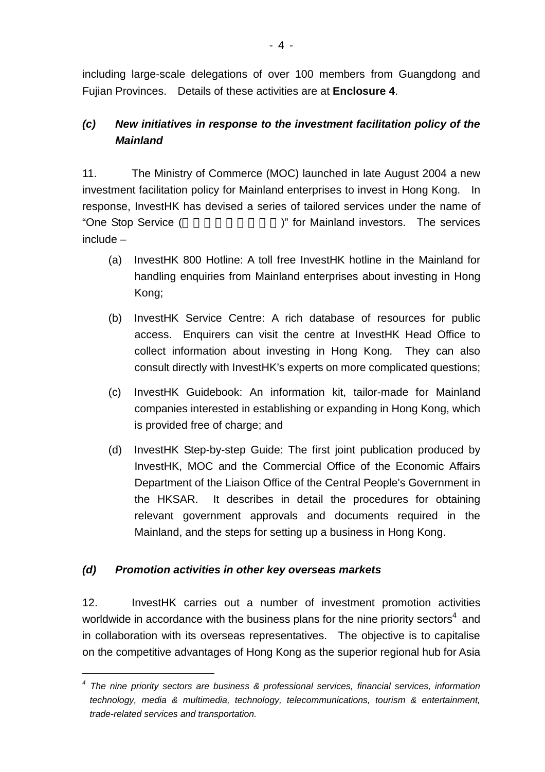including large-scale delegations of over 100 members from Guangdong and Fujian Provinces. Details of these activities are at **Enclosure 4**.

## *(c) New initiatives in response to the investment facilitation policy of the Mainland*

11. The Ministry of Commerce (MOC) launched in late August 2004 a new investment facilitation policy for Mainland enterprises to invest in Hong Kong. In response, InvestHK has devised a series of tailored services under the name of "One Stop Service (
We stop Service (
We service subsetsing the Mainland investors. The services include –

- (a) InvestHK 800 Hotline: A toll free InvestHK hotline in the Mainland for handling enquiries from Mainland enterprises about investing in Hong Kong;
- (b) InvestHK Service Centre: A rich database of resources for public access. Enquirers can visit the centre at InvestHK Head Office to collect information about investing in Hong Kong. They can also consult directly with InvestHK's experts on more complicated questions;
- (c) InvestHK Guidebook: An information kit, tailor-made for Mainland companies interested in establishing or expanding in Hong Kong, which is provided free of charge; and
- (d) InvestHK Step-by-step Guide: The first joint publication produced by InvestHK, MOC and the Commercial Office of the Economic Affairs Department of the Liaison Office of the Central People's Government in the HKSAR. It describes in detail the procedures for obtaining relevant government approvals and documents required in the Mainland, and the steps for setting up a business in Hong Kong.

## *(d) Promotion activities in other key overseas markets*

 $\overline{a}$ 

12. InvestHK carries out a number of investment promotion activities worldwide in accordance with the business plans for the nine priority sectors<sup>[4](#page-3-0)</sup> and in collaboration with its overseas representatives. The objective is to capitalise on the competitive advantages of Hong Kong as the superior regional hub for Asia

<span id="page-3-0"></span><sup>&</sup>lt;sup>4</sup> The nine priority sectors are business & professional services, financial services, information *technology, media & multimedia, technology, telecommunications, tourism & entertainment, trade-related services and transportation.*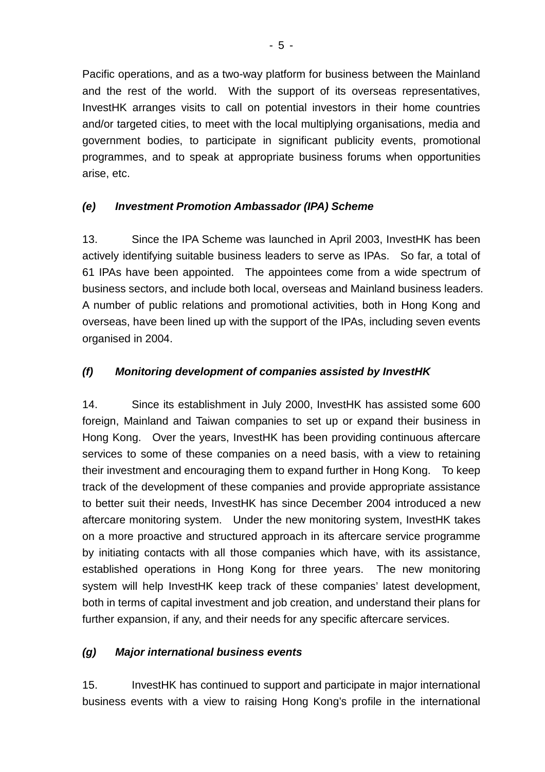Pacific operations, and as a two-way platform for business between the Mainland and the rest of the world. With the support of its overseas representatives, InvestHK arranges visits to call on potential investors in their home countries and/or targeted cities, to meet with the local multiplying organisations, media and government bodies, to participate in significant publicity events, promotional programmes, and to speak at appropriate business forums when opportunities arise, etc.

## *(e) Investment Promotion Ambassador (IPA) Scheme*

13. Since the IPA Scheme was launched in April 2003, InvestHK has been actively identifying suitable business leaders to serve as IPAs. So far, a total of 61 IPAs have been appointed. The appointees come from a wide spectrum of business sectors, and include both local, overseas and Mainland business leaders. A number of public relations and promotional activities, both in Hong Kong and overseas, have been lined up with the support of the IPAs, including seven events organised in 2004.

## *(f) Monitoring development of companies assisted by InvestHK*

14. Since its establishment in July 2000, InvestHK has assisted some 600 foreign, Mainland and Taiwan companies to set up or expand their business in Hong Kong. Over the years, InvestHK has been providing continuous aftercare services to some of these companies on a need basis, with a view to retaining their investment and encouraging them to expand further in Hong Kong. To keep track of the development of these companies and provide appropriate assistance to better suit their needs, InvestHK has since December 2004 introduced a new aftercare monitoring system. Under the new monitoring system, InvestHK takes on a more proactive and structured approach in its aftercare service programme by initiating contacts with all those companies which have, with its assistance, established operations in Hong Kong for three years. The new monitoring system will help InvestHK keep track of these companies' latest development, both in terms of capital investment and job creation, and understand their plans for further expansion, if any, and their needs for any specific aftercare services.

#### *(g) Major international business events*

15. InvestHK has continued to support and participate in major international business events with a view to raising Hong Kong's profile in the international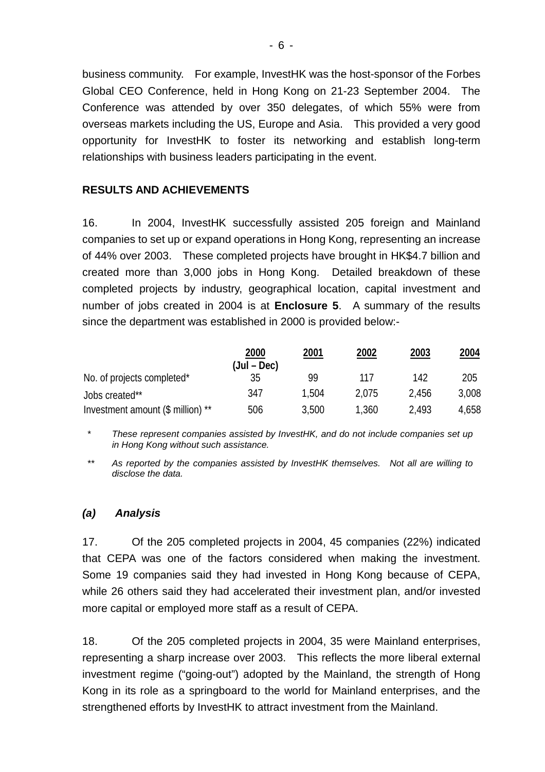business community. For example, InvestHK was the host-sponsor of the Forbes Global CEO Conference, held in Hong Kong on 21-23 September 2004. The Conference was attended by over 350 delegates, of which 55% were from overseas markets including the US, Europe and Asia. This provided a very good opportunity for InvestHK to foster its networking and establish long-term relationships with business leaders participating in the event.

#### **RESULTS AND ACHIEVEMENTS**

16. In 2004, InvestHK successfully assisted 205 foreign and Mainland companies to set up or expand operations in Hong Kong, representing an increase of 44% over 2003. These completed projects have brought in HK\$4.7 billion and created more than 3,000 jobs in Hong Kong. Detailed breakdown of these completed projects by industry, geographical location, capital investment and number of jobs created in 2004 is at **Enclosure 5**. A summary of the results since the department was established in 2000 is provided below:-

|                                   | 2000<br>(Jul – Dec) | 2001  | 2002  | 2003  | 2004  |
|-----------------------------------|---------------------|-------|-------|-------|-------|
| No. of projects completed*        | 35                  | 99    | 117   | 142   | 205   |
| Jobs created**                    | 347                 | 1.504 | 2.075 | 2.456 | 3,008 |
| Investment amount (\$ million) ** | 506                 | 3.500 | 1,360 | 2.493 | 4.658 |

*\* These represent companies assisted by InvestHK, and do not include companies set up in Hong Kong without such assistance.* 

*\*\* As reported by the companies assisted by InvestHK themselves. Not all are willing to disclose the data.* 

#### *(a) Analysis*

17. Of the 205 completed projects in 2004, 45 companies (22%) indicated that CEPA was one of the factors considered when making the investment. Some 19 companies said they had invested in Hong Kong because of CEPA, while 26 others said they had accelerated their investment plan, and/or invested more capital or employed more staff as a result of CEPA.

18. Of the 205 completed projects in 2004, 35 were Mainland enterprises, representing a sharp increase over 2003. This reflects the more liberal external investment regime ("going-out") adopted by the Mainland, the strength of Hong Kong in its role as a springboard to the world for Mainland enterprises, and the strengthened efforts by InvestHK to attract investment from the Mainland.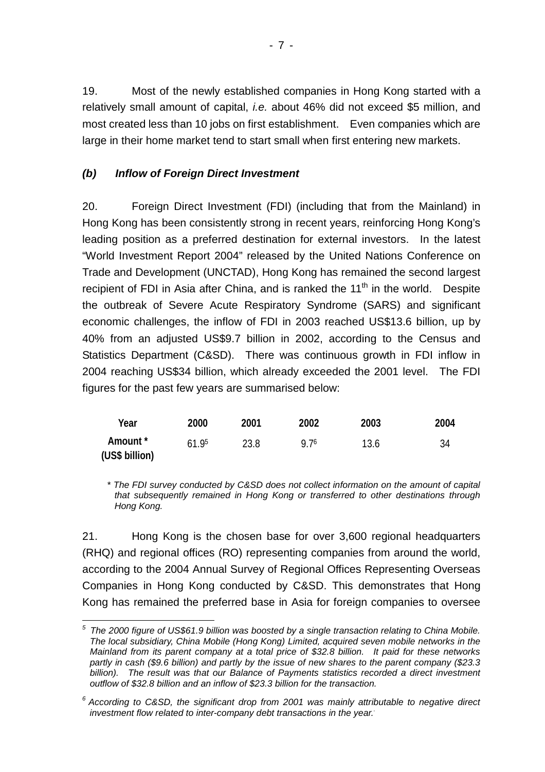19. Most of the newly established companies in Hong Kong started with a relatively small amount of capital, *i.e.* about 46% did not exceed \$5 million, and most created less than 10 jobs on first establishment. Even companies which are large in their home market tend to start small when first entering new markets.

#### *(b) Inflow of Foreign Direct Investment*

20. Foreign Direct Investment (FDI) (including that from the Mainland) in Hong Kong has been consistently strong in recent years, reinforcing Hong Kong's leading position as a preferred destination for external investors. In the latest "World Investment Report 2004" released by the United Nations Conference on Trade and Development (UNCTAD), Hong Kong has remained the second largest recipient of FDI in Asia after China, and is ranked the  $11<sup>th</sup>$  in the world. Despite the outbreak of Severe Acute Respiratory Syndrome (SARS) and significant economic challenges, the inflow of FDI in 2003 reached US\$13.6 billion, up by 40% from an adjusted US\$9.7 billion in 2002, according to the Census and Statistics Department (C&SD). There was continuous growth in FDI inflow in 2004 reaching US\$34 billion, which already exceeded the 2001 level. The FDI figures for the past few years are summarised below:

| Year                       | 2000  | 2001 | 2002 | 2003 | 2004 |
|----------------------------|-------|------|------|------|------|
| Amount *<br>(US\$ billion) | 61.95 | 23.8 | Q 76 | 13.6 | 34   |

*\* The FDI survey conducted by C&SD does not collect information on the amount of capital that subsequently remained in Hong Kong or transferred to other destinations through Hong Kong.* 

21. Hong Kong is the chosen base for over 3,600 regional headquarters (RHQ) and regional offices (RO) representing companies from around the world, according to the 2004 Annual Survey of Regional Offices Representing Overseas Companies in Hong Kong conducted by C&SD. This demonstrates that Hong Kong has remained the preferred base in Asia for foreign companies to oversee

<span id="page-6-0"></span> $\overline{a}$ *5 The 2000 figure of US\$61.9 billion was boosted by a single transaction relating to China Mobile. The local subsidiary, China Mobile (Hong Kong) Limited, acquired seven mobile networks in the Mainland from its parent company at a total price of \$32.8 billion. It paid for these networks partly in cash (\$9.6 billion) and partly by the issue of new shares to the parent company (\$23.3 billion). The result was that our Balance of Payments statistics recorded a direct investment outflow of \$32.8 billion and an inflow of \$23.3 billion for the transaction.* 

<span id="page-6-1"></span>*<sup>6</sup> According to C&SD, the significant drop from 2001 was mainly attributable to negative direct investment flow related to inter-company debt transactions in the year.*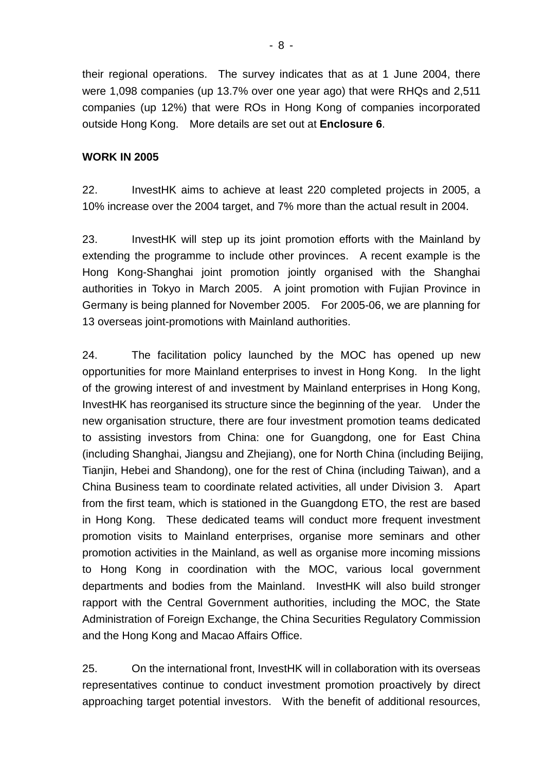their regional operations. The survey indicates that as at 1 June 2004, there were 1,098 companies (up 13.7% over one year ago) that were RHQs and 2,511 companies (up 12%) that were ROs in Hong Kong of companies incorporated outside Hong Kong. More details are set out at **Enclosure 6**.

#### **WORK IN 2005**

22. InvestHK aims to achieve at least 220 completed projects in 2005, a 10% increase over the 2004 target, and 7% more than the actual result in 2004.

23. InvestHK will step up its joint promotion efforts with the Mainland by extending the programme to include other provinces. A recent example is the Hong Kong-Shanghai joint promotion jointly organised with the Shanghai authorities in Tokyo in March 2005. A joint promotion with Fujian Province in Germany is being planned for November 2005. For 2005-06, we are planning for 13 overseas joint-promotions with Mainland authorities.

24. The facilitation policy launched by the MOC has opened up new opportunities for more Mainland enterprises to invest in Hong Kong. In the light of the growing interest of and investment by Mainland enterprises in Hong Kong, InvestHK has reorganised its structure since the beginning of the year. Under the new organisation structure, there are four investment promotion teams dedicated to assisting investors from China: one for Guangdong, one for East China (including Shanghai, Jiangsu and Zhejiang), one for North China (including Beijing, Tianjin, Hebei and Shandong), one for the rest of China (including Taiwan), and a China Business team to coordinate related activities, all under Division 3. Apart from the first team, which is stationed in the Guangdong ETO, the rest are based in Hong Kong. These dedicated teams will conduct more frequent investment promotion visits to Mainland enterprises, organise more seminars and other promotion activities in the Mainland, as well as organise more incoming missions to Hong Kong in coordination with the MOC, various local government departments and bodies from the Mainland. InvestHK will also build stronger rapport with the Central Government authorities, including the MOC, the State Administration of Foreign Exchange, the China Securities Regulatory Commission and the Hong Kong and Macao Affairs Office.

25. On the international front, InvestHK will in collaboration with its overseas representatives continue to conduct investment promotion proactively by direct approaching target potential investors. With the benefit of additional resources,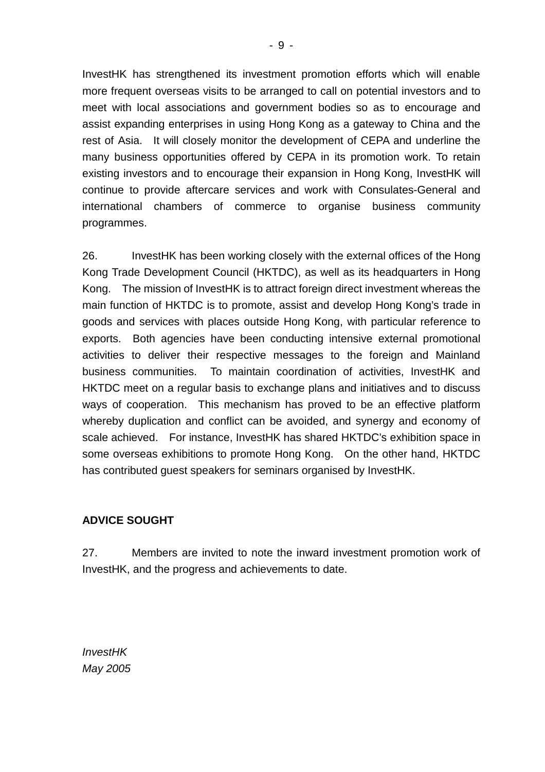InvestHK has strengthened its investment promotion efforts which will enable more frequent overseas visits to be arranged to call on potential investors and to meet with local associations and government bodies so as to encourage and assist expanding enterprises in using Hong Kong as a gateway to China and the rest of Asia. It will closely monitor the development of CEPA and underline the many business opportunities offered by CEPA in its promotion work. To retain existing investors and to encourage their expansion in Hong Kong, InvestHK will continue to provide aftercare services and work with Consulates-General and international chambers of commerce to organise business community programmes.

26. InvestHK has been working closely with the external offices of the Hong Kong Trade Development Council (HKTDC), as well as its headquarters in Hong Kong. The mission of InvestHK is to attract foreign direct investment whereas the main function of HKTDC is to promote, assist and develop Hong Kong's trade in goods and services with places outside Hong Kong, with particular reference to exports. Both agencies have been conducting intensive external promotional activities to deliver their respective messages to the foreign and Mainland business communities. To maintain coordination of activities, InvestHK and HKTDC meet on a regular basis to exchange plans and initiatives and to discuss ways of cooperation. This mechanism has proved to be an effective platform whereby duplication and conflict can be avoided, and synergy and economy of scale achieved. For instance, InvestHK has shared HKTDC's exhibition space in some overseas exhibitions to promote Hong Kong. On the other hand, HKTDC has contributed guest speakers for seminars organised by InvestHK.

#### **ADVICE SOUGHT**

27. Members are invited to note the inward investment promotion work of InvestHK, and the progress and achievements to date.

*InvestHK May 2005*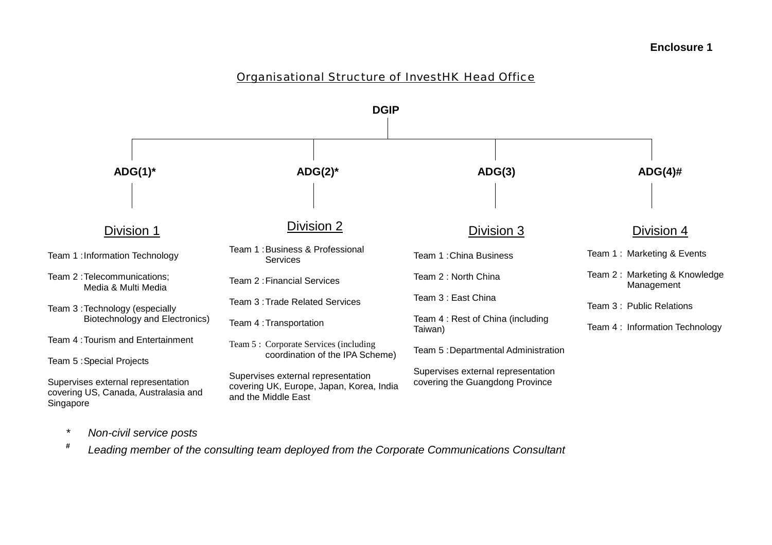#### Organisational Structure of InvestHK Head Office



- *\* Non-civil service posts*
- **#***Leading member of the consulting team deployed from the Corporate Communications Consultant*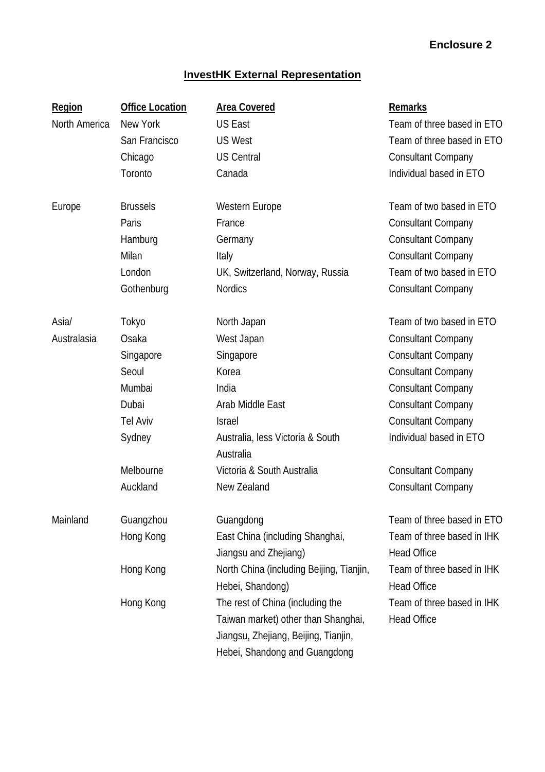## **InvestHK External Representation**

| <b>Region</b> | <b>Office Location</b> | <b>Area Covered</b>                                                                                                                              | <b>Remarks</b>                                   |
|---------------|------------------------|--------------------------------------------------------------------------------------------------------------------------------------------------|--------------------------------------------------|
| North America | New York               | <b>US East</b>                                                                                                                                   | Team of three based in ETO                       |
|               | San Francisco          | <b>US West</b>                                                                                                                                   | Team of three based in ETO                       |
|               | Chicago                | <b>US Central</b>                                                                                                                                | <b>Consultant Company</b>                        |
|               | Toronto                | Canada                                                                                                                                           | Individual based in ETO                          |
| Europe        | <b>Brussels</b>        | <b>Western Europe</b>                                                                                                                            | Team of two based in ETO                         |
|               | Paris                  | France                                                                                                                                           | <b>Consultant Company</b>                        |
|               | Hamburg                | Germany                                                                                                                                          | <b>Consultant Company</b>                        |
|               | Milan                  | Italy                                                                                                                                            | <b>Consultant Company</b>                        |
|               | London                 | UK, Switzerland, Norway, Russia                                                                                                                  | Team of two based in ETO                         |
|               | Gothenburg             | <b>Nordics</b>                                                                                                                                   | <b>Consultant Company</b>                        |
| Asia/         | Tokyo                  | North Japan                                                                                                                                      | Team of two based in ETO                         |
| Australasia   | Osaka                  | West Japan                                                                                                                                       | <b>Consultant Company</b>                        |
|               | Singapore              | Singapore                                                                                                                                        | <b>Consultant Company</b>                        |
|               | Seoul                  | Korea                                                                                                                                            | <b>Consultant Company</b>                        |
|               | Mumbai                 | India                                                                                                                                            | <b>Consultant Company</b>                        |
|               | Dubai                  | Arab Middle East                                                                                                                                 | <b>Consultant Company</b>                        |
|               | <b>Tel Aviv</b>        | <b>Israel</b>                                                                                                                                    | <b>Consultant Company</b>                        |
|               | Sydney                 | Australia, less Victoria & South<br>Australia                                                                                                    | Individual based in ETO                          |
|               | Melbourne              | Victoria & South Australia                                                                                                                       | <b>Consultant Company</b>                        |
|               | Auckland               | New Zealand                                                                                                                                      | <b>Consultant Company</b>                        |
| Mainland      | Guangzhou              | Guangdong                                                                                                                                        | Team of three based in ETO                       |
|               | Hong Kong              | East China (including Shanghai,<br>Jiangsu and Zhejiang)                                                                                         | Team of three based in IHK<br><b>Head Office</b> |
|               | Hong Kong              | North China (including Beijing, Tianjin,<br>Hebei, Shandong)                                                                                     | Team of three based in IHK<br><b>Head Office</b> |
|               | Hong Kong              | The rest of China (including the<br>Taiwan market) other than Shanghai,<br>Jiangsu, Zhejiang, Beijing, Tianjin,<br>Hebei, Shandong and Guangdong | Team of three based in IHK<br><b>Head Office</b> |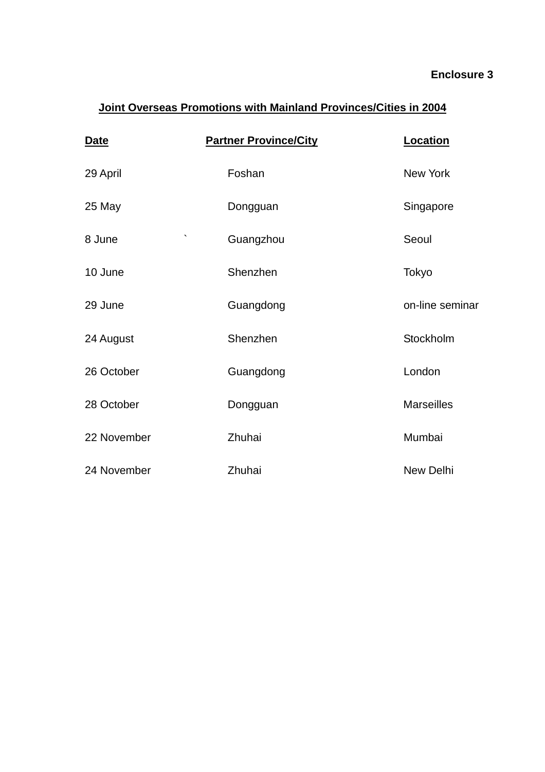# **Joint Overseas Promotions with Mainland Provinces/Cities in 2004**

| <b>Date</b>       | <b>Partner Province/City</b> | Location          |
|-------------------|------------------------------|-------------------|
| 29 April          | Foshan                       | New York          |
| 25 May            | Dongguan                     | Singapore         |
| $\cdot$<br>8 June | Guangzhou                    | Seoul             |
| 10 June           | Shenzhen                     | Tokyo             |
| 29 June           | Guangdong                    | on-line seminar   |
| 24 August         | Shenzhen                     | Stockholm         |
| 26 October        | Guangdong                    | London            |
| 28 October        | Dongguan                     | <b>Marseilles</b> |
| 22 November       | Zhuhai                       | Mumbai            |
| 24 November       | Zhuhai                       | New Delhi         |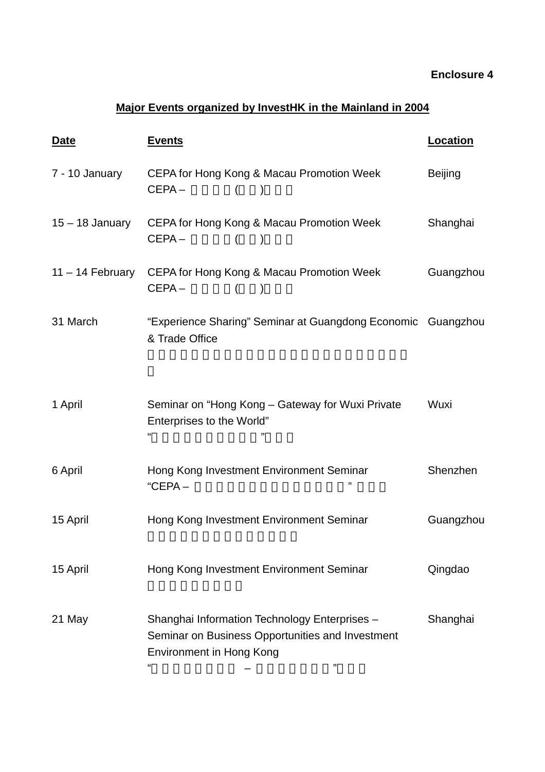# **Major Events organized by InvestHK in the Mainland in 2004**

| Date              | <b>Events</b>                                                                                                                                  | <b>Location</b> |
|-------------------|------------------------------------------------------------------------------------------------------------------------------------------------|-----------------|
| 7 - 10 January    | <b>CEPA for Hong Kong &amp; Macau Promotion Week</b><br>$CEPA -$<br>$\left($<br>$\lambda$                                                      | <b>Beijing</b>  |
| $15 - 18$ January | CEPA for Hong Kong & Macau Promotion Week<br>$CEPA -$<br>$\lambda$                                                                             | Shanghai        |
| 11 – 14 February  | CEPA for Hong Kong & Macau Promotion Week<br>$CEPA -$<br>$\left($<br>$\lambda$                                                                 | Guangzhou       |
| 31 March          | "Experience Sharing" Seminar at Guangdong Economic Guangzhou<br>& Trade Office                                                                 |                 |
| 1 April           | Seminar on "Hong Kong - Gateway for Wuxi Private<br>Enterprises to the World"<br>"                                                             | Wuxi            |
| 6 April           | Hong Kong Investment Environment Seminar<br>"<br>$"CEPA-$                                                                                      | Shenzhen        |
| 15 April          | Hong Kong Investment Environment Seminar                                                                                                       | Guangzhou       |
| 15 April          | Hong Kong Investment Environment Seminar                                                                                                       | Qingdao         |
| 21 May            | Shanghai Information Technology Enterprises -<br>Seminar on Business Opportunities and Investment<br><b>Environment in Hong Kong</b><br>"<br>" | Shanghai        |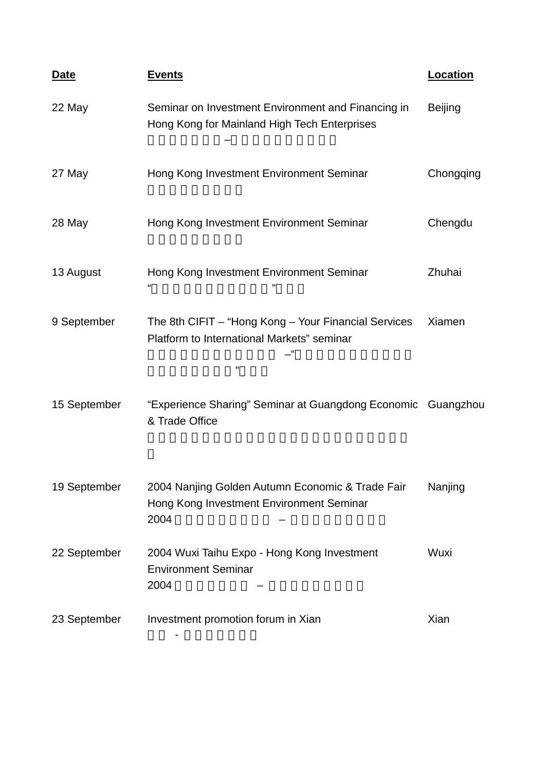| <u>Date</u>  | <u>Events</u>                                                                                                    | Location       |
|--------------|------------------------------------------------------------------------------------------------------------------|----------------|
| 22 May       | Seminar on Investment Environment and Financing in<br>Hong Kong for Mainland High Tech Enterprises               | <b>Beijing</b> |
| 27 May       | Hong Kong Investment Environment Seminar                                                                         | Chongqing      |
| 28 May       | Hong Kong Investment Environment Seminar                                                                         | Chengdu        |
| 13 August    | Hong Kong Investment Environment Seminar<br>"                                                                    | Zhuhai         |
| 9 September  | The 8th CIFIT - "Hong Kong - Your Financial Services<br>Platform to International Markets" seminar<br>- 66<br>,, | Xiamen         |
| 15 September | "Experience Sharing" Seminar at Guangdong Economic Guangzhou<br>& Trade Office                                   |                |
| 19 September | 2004 Nanjing Golden Autumn Economic & Trade Fair<br>Hong Kong Investment Environment Seminar<br>2004             | Nanjing        |
| 22 September | 2004 Wuxi Taihu Expo - Hong Kong Investment<br><b>Environment Seminar</b><br>2004                                | Wuxi           |
| 23 September | Investment promotion forum in Xian                                                                               | Xian           |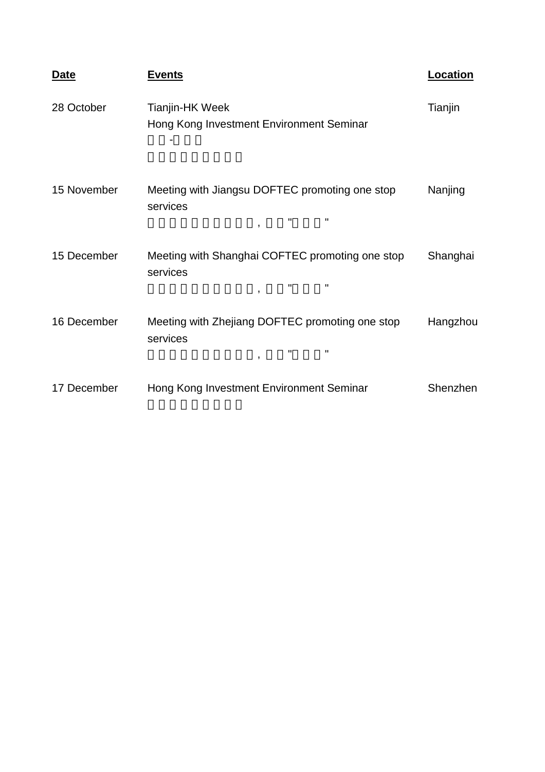| Date        | <u>Events</u>                                                                                                | <u>Location</u> |
|-------------|--------------------------------------------------------------------------------------------------------------|-----------------|
| 28 October  | Tianjin-HK Week<br>Hong Kong Investment Environment Seminar                                                  | Tianjin         |
| 15 November | Meeting with Jiangsu DOFTEC promoting one stop<br>services<br>$\mathbf{H}$<br>$\mathbf H$<br>$\overline{ }$  | Nanjing         |
| 15 December | Meeting with Shanghai COFTEC promoting one stop<br>services<br>п<br>$\mathbf{H}$<br>$\overline{\phantom{a}}$ | Shanghai        |
| 16 December | Meeting with Zhejiang DOFTEC promoting one stop<br>services<br>$\mathbf{H}$<br>п<br>$\overline{\phantom{a}}$ | Hangzhou        |
| 17 December | Hong Kong Investment Environment Seminar                                                                     | Shenzhen        |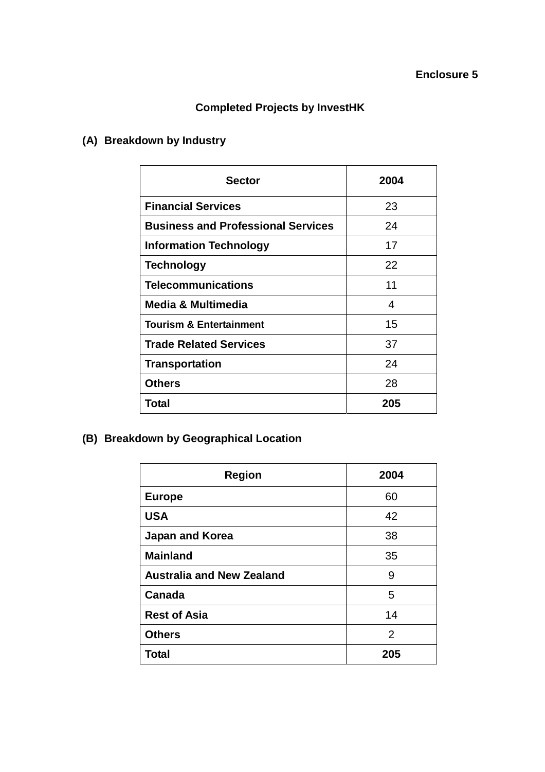# **Completed Projects by InvestHK**

# **(A) Breakdown by Industry**

| <b>Sector</b>                             | 2004 |
|-------------------------------------------|------|
| <b>Financial Services</b>                 | 23   |
| <b>Business and Professional Services</b> | 24   |
| <b>Information Technology</b>             | 17   |
| <b>Technology</b>                         | 22   |
| <b>Telecommunications</b>                 | 11   |
| <b>Media &amp; Multimedia</b>             | 4    |
| <b>Tourism &amp; Entertainment</b>        | 15   |
| <b>Trade Related Services</b>             | 37   |
| <b>Transportation</b>                     | 24   |
| <b>Others</b>                             | 28   |
| Total                                     | 205  |

**(B) Breakdown by Geographical Location** 

| <b>Region</b>                    | 2004 |
|----------------------------------|------|
| <b>Europe</b>                    | 60   |
| <b>USA</b>                       | 42   |
| Japan and Korea                  | 38   |
| <b>Mainland</b>                  | 35   |
| <b>Australia and New Zealand</b> | 9    |
| Canada                           | 5    |
| <b>Rest of Asia</b>              | 14   |
| <b>Others</b>                    | 2    |
| <b>Total</b>                     | 205  |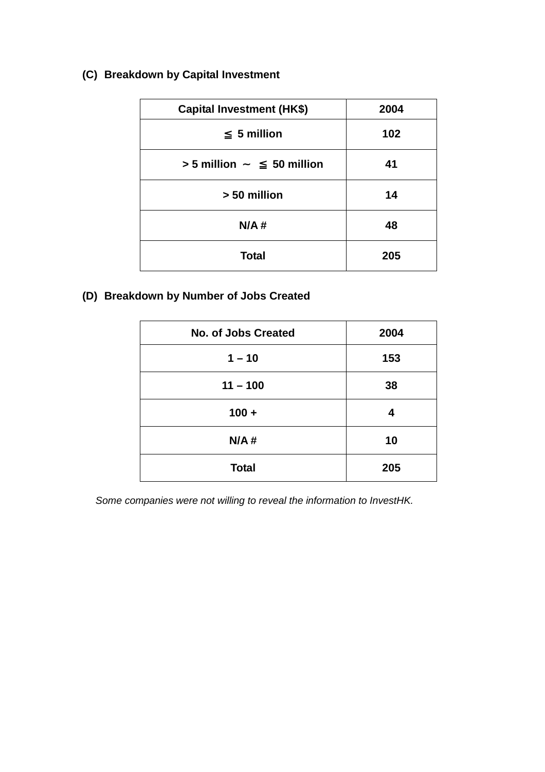## **(C) Breakdown by Capital Investment**

| <b>Capital Investment (HK\$)</b> | 2004 |
|----------------------------------|------|
| 5 million                        | 102  |
| $> 5$ million<br>50 million      | 41   |
| > 50 million                     | 14   |
| N/A#                             | 48   |
| <b>Total</b>                     | 205  |

### **(D) Breakdown by Number of Jobs Created**

| <b>No. of Jobs Created</b> | 2004 |  |
|----------------------------|------|--|
| $1 - 10$                   | 153  |  |
| $11 - 100$                 | 38   |  |
| $100 +$                    | 4    |  |
| N/A#                       | 10   |  |
| <b>Total</b>               | 205  |  |

*Some companies were not willing to reveal the information to InvestHK.*